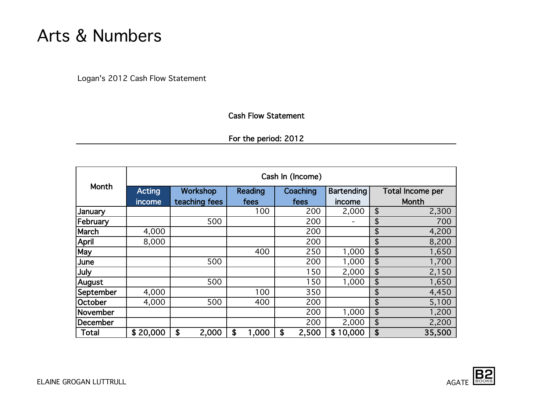# Arts & Numbers

Logan's 2012 Cash Flow Statement

### Cash Flow Statement

For the period: 2012

|                 | Cash In (Income) |               |             |             |                   |                         |  |  |  |
|-----------------|------------------|---------------|-------------|-------------|-------------------|-------------------------|--|--|--|
| Month           | <b>Acting</b>    | Workshop      | Reading     | Coaching    | <b>Bartending</b> | <b>Total Income per</b> |  |  |  |
|                 | income           | teaching fees | fees        | fees        | income            | Month                   |  |  |  |
| <b>January</b>  |                  |               | 100         | 200         | 2,000             | \$<br>2,300             |  |  |  |
| February        |                  | 500           |             | 200         |                   | 700<br>\$               |  |  |  |
| March           | 4,000            |               |             | 200         |                   | \$<br>4,200             |  |  |  |
| April           | 8,000            |               |             | 200         |                   | \$<br>8,200             |  |  |  |
| May             |                  |               | 400         | 250         | 1,000             | \$<br>1,650             |  |  |  |
| June            |                  | 500           |             | 200         | 1,000             | \$<br>1,700             |  |  |  |
| July            |                  |               |             | 150         | 2,000             | \$<br>2,150             |  |  |  |
| August          |                  | 500           |             | 150         | 1,000             | \$<br>1,650             |  |  |  |
| September       | 4,000            |               | 100         | 350         |                   | \$<br>4,450             |  |  |  |
| October         | 4,000            | 500           | 400         | 200         |                   | \$<br>5,100             |  |  |  |
| November        |                  |               |             | 200         | 1,000             | \$<br>1,200             |  |  |  |
| <b>December</b> |                  |               |             | 200         | 2,000             | \$<br>2,200             |  |  |  |
| <b>Total</b>    | \$20,000         | \$<br>2,000   | 1,000<br>\$ | \$<br>2,500 | \$10,000          | \$<br>35,500            |  |  |  |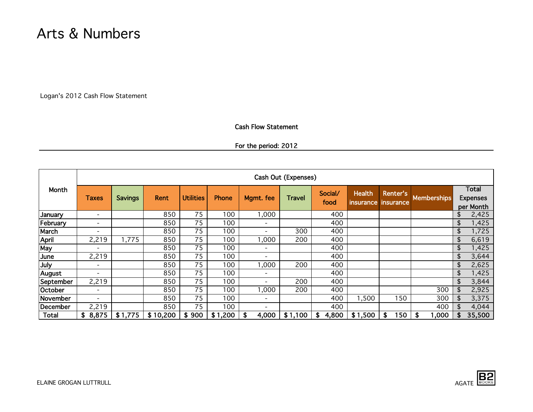## Arts & Numbers

Logan's 2012 Cash Flow Statement

#### Cash Flow Statement

For the period: 2012

|              | Cash Out (Expenses)      |                |          |                  |         |                          |         |                 |                            |                              |                    |                                       |        |
|--------------|--------------------------|----------------|----------|------------------|---------|--------------------------|---------|-----------------|----------------------------|------------------------------|--------------------|---------------------------------------|--------|
| Month        | <b>Taxes</b>             | <b>Savings</b> | Rent     | <b>Utilities</b> | Phone   | Mgmt. fee                | Travel  | Social/<br>food | <b>Health</b><br>insurance | Renter's<br><i>insurance</i> | <b>Memberships</b> | Total<br><b>Expenses</b><br>per Month |        |
| January      | $\overline{\phantom{0}}$ |                | 850      | 75               | 100     | 000,                     |         | 400             |                            |                              |                    | \$                                    | 2,425  |
| February     | ۰                        |                | 850      | 75               | 100     | -                        |         | 400             |                            |                              |                    | \$                                    | 1,425  |
| March        | $\overline{\phantom{0}}$ |                | 850      | 75               | 100     |                          | 300     | 400             |                            |                              |                    | \$                                    | 1,725  |
| April        | 2,219                    | 1,775          | 850      | 75               | 100     | 000,                     | 200     | 400             |                            |                              |                    | \$                                    | 6,619  |
| May          | $\overline{\phantom{0}}$ |                | 850      | 75               | 100     | $\overline{\phantom{0}}$ |         | 400             |                            |                              |                    | \$                                    | ,425   |
| June         | 2,219                    |                | 850      | 75               | 100     | $\overline{\phantom{0}}$ |         | 400             |                            |                              |                    | \$                                    | 3,644  |
| July         | ۰.                       |                | 850      | 75               | 100     | 1,000                    | 200     | 400             |                            |                              |                    | \$                                    | 2,625  |
| August       | -                        |                | 850      | 75               | 100     | ٠                        |         | 400             |                            |                              |                    | \$                                    | 1,425  |
| September    | 2,219                    |                | 850      | 75               | 100     | $\overline{\phantom{0}}$ | 200     | 400             |                            |                              |                    | \$                                    | 3,844  |
| October      | $\overline{\phantom{0}}$ |                | 850      | 75               | 100     | 000,                     | 200     | 400             |                            |                              | 300                | \$                                    | 2,925  |
| November     | $\overline{\phantom{0}}$ |                | 850      | 75               | 100     | $\overline{\phantom{0}}$ |         | 400             | 1,500                      | 150                          | 300                | \$                                    | 3,375  |
| December     | 2,219                    |                | 850      | 75               | 100     | $\overline{\phantom{a}}$ |         | 400             |                            |                              | 400                | \$                                    | 4,044  |
| <b>Total</b> | \$8,875                  | \$1,775        | \$10,200 | 900<br>\$        | \$1,200 | 4,000<br>S               | \$1,100 | 4,800<br>S      | \$1,500                    | 150<br>\$                    | 1,000<br>\$        | \$                                    | 35,500 |